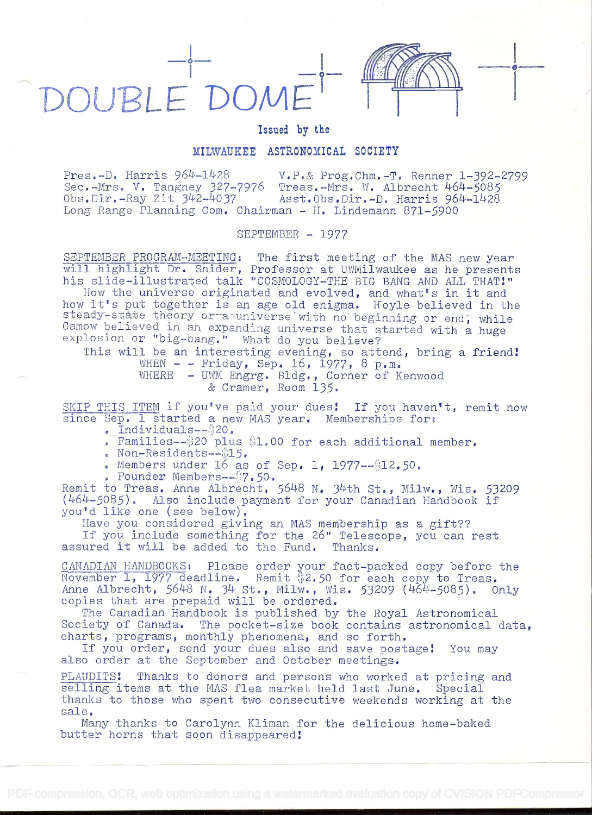



i kacamatan ing Kabupatèn Kabupatèn

## Issued by the

## MILWAUKEE ASTRONOMICAL SOCIETY

Pres.-D. Harris 964-1428 V.P.& Prog.Chm.-T. Renner 1-392-2799<br>Sec.-Mrs. V. Tangney 327-7976 Treas.-Mrs. W. Albrecht 464-5085<br>Obs.Dir.-Ray Zit 342-4037 Asst.Obs.Dir.-D. Harris 964-1428 Obs.Dir.-Ray Zit 342-4037 Long Range Planning Com. Chairman - H. Lindemann 871-5900

SEPTEMBER - 1977

SEPTEMBER PROGRAM-MEETING: The first meeting of the MAS new year will highlight Dr. Snider, Professor at UWMilwaukee as he presents his slide-illustrated talk "COSMOLOGY-THE BIG BANG AND ALL THAT!"

How the universe originated and evolved, and what's in it and how it's put together is an age old enigma. Hoyle believed in the steady-state theory or a universe with no beginning or end, while<br>Gamow believed in an expanding universe that started with a huge<br>explosion or "big-bang." What do you believe?

This will be an interesting evening, so attend, bring a friend! WHEN  $-$  - Friday, Sep. 16, 1977, 8 p.m.

WHERE - UWM Engrg. Bldg., Corner of Kenwood & Cramer, Room 135.

SKIP THIS ITEM if you've paid your dues! If you haven't, remit now since Sep. 1 started a new MAS year. Memberships for:

. Individuals--320.

. Families-- $320$  plus  $1.00$  for each additional member.

. Non-Residents--\$15.

Members under  $16$  as of Sep. 1,  $1977--12.50$ .

. Founder Members -- \$7.50.

Remit to Treas. Anne Albrecht, 5648 N. 34th St., Milw., Wis. 53209 nemit to freas. Anne Albrecht, Jovo N. Jour St., Milw., Wis. Jolog<br>(464–5085). Also include payment for your Canadian Handbook if

you'd like one (see below).<br>Have you considered giving an MAS membership as a gift??<br>If you include something for the 26" Telescope, you can rest<br>assured it will be added to the Fund. Thanks.

CANADIAN HANDBOOKS: Please order your fact-packed copy before the November 1, 1977 deadline. Remit \$2.50 for each copy to Treas. Anne Albrecht, 5648 N. 34 St., Milw., Wis. 53209 (464-5085). Only copies that are prepaid will be ordered.<br>The Canadian Handbook is published by the Royal Astronomical

Society of Canada. The pocket-size book contains astronomical data,<br>charts, programs, monthly phenomena, and so forth.<br>If you order, send your dues also and save postage! You may<br>also order at the September and October mee

PLAUDITS: Thanks to donors and persons who worked at pricing and selling items at the MAS flea market held last June. Special thanks to those who spent two consecutive weekends working at the sale.

Many thanks to Carolynn Kliman for the delicious home-baked butter horns that soon disappeared!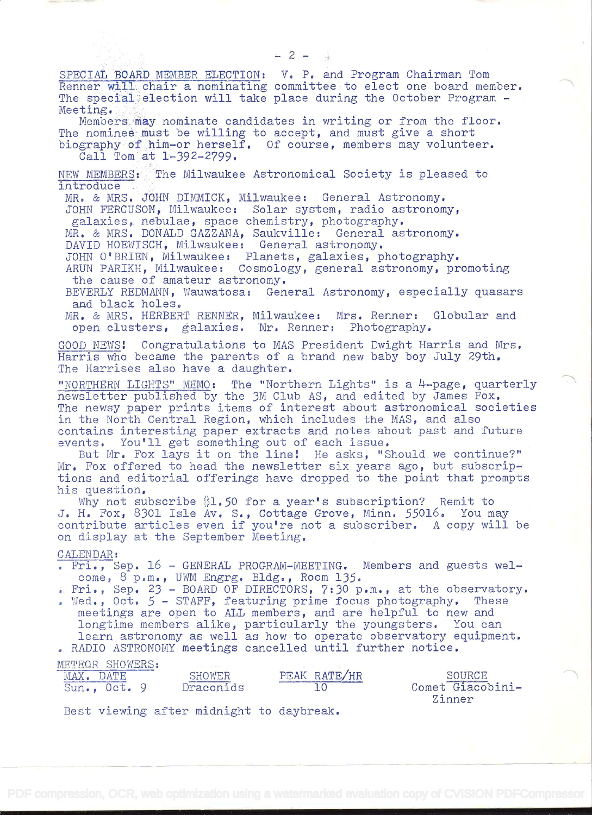SPECIAL BOARD MEMBER ELECTION: V. P. and Program Chairman Tom Renner will chair a nominating committee to elect one board member. The special election will take place during the October Program  $-$ Meeting. : Membersmay nominate candidates in writing or from the floor. The nominee must be willing to accept, and must give a short biography of him-or herself. Of course, members may volunteer. Call Tom at 1-392-2799. NEW MEMBERS: The Milwaukee Astronomical Society is pleased to introduce MR. & MRS. JOHN DIMMICK, Milwaukee: General Astronomy. JOHN FERGUSON, Milwaukee: Solar system, radio astronomy, galaxies, nebulae, space chemistry, photography. MR. & MRS. DONALD GAZZANA, Saukville: General astronomy. DAVID HOEWISCH, Milwaukee: General astronomy. JOHN O'BRIEN, Milwaukee: Planets, galaxies, photography. ARUN PARIKH, Milwaukee: Cosmology, general astronomy, promoting the cause of amateur astronomy. BEVERLY REDMANN, Wauwatosa: General Astronomy, especially quasars and black holes. MR. & MRS. HERBERT RENNER, Milwaukee: Mrs. Renner: Globular and open clusters, galaxies. Mr. Renner: Photography. GOOD NEWS! Congratulations to MAS President Dwight Harris and Mrs. Harris who became the parents of a brand new baby boy July 29th. The Harrises also have a daughter. "NORTHERN LIGHTS" MEMO: The "Northern Lights" is a  $4$ -page, quarterly newsletter published by the 3M Club AS, and edited by James Fox. The newsy paper prints items of interest about astronomical societies in the North Central Region, which includes the MAS, and also contains interesting paper extracts and notes about past and future events, You'll get something out of each issue, But Mr. Fox lays it on the line! He asks, "Should we continue?" Mr. Fox offered to head the newsletter six years ago, but subscriptions and editorial offerings have dropped to the point that prompts his question. Why not subscribe \$1.50 for a year's subscription? Remit to J. H. Fox, 8301 Isle Av. S., Cottage Grove, Minn. 55016. You may contribute articles even if you're not a subscriber. A copy will be on display at the September Meeting. CALENDAR: . Fri., Sep. 16 - GENERAL PROGRAM-MEETING. Members and guests welcome, 8 p.m., UWM Engrg. Bldg., Room 135. . Fri., Sep. 23 - BOARD OF DIRECTORS, 7:30 p.m., at the observatory. . Wed.,  $Oct. 5 - STATE.$  featuring prime focus photography. These meetings are open to ALL members, and are helpful to new and longtime members alike, particularly the youngsters. You can learn astronomy as well as how to operate observatory equipment. RADIO ASTRONOMY meetings cancelled until further notice. METEOR SHOWERS:<br>
MAX. DATE SHOWER SHOWER PEAK RATE/HR SOURCE<br>Draconids 10 Comet Giacol Sun., Oct. 9 Draconids 10 Comet Giacobini-Zinner

Best viewing after midnight to daybreak.